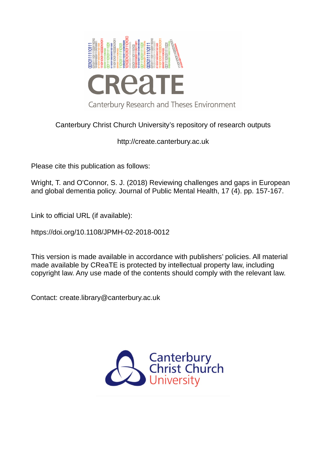

# Canterbury Christ Church University's repository of research outputs

http://create.canterbury.ac.uk

Please cite this publication as follows:

Wright, T. and O'Connor, S. J. (2018) Reviewing challenges and gaps in European and global dementia policy. Journal of Public Mental Health, 17 (4). pp. 157-167.

Link to official URL (if available):

https://doi.org/10.1108/JPMH-02-2018-0012

This version is made available in accordance with publishers' policies. All material made available by CReaTE is protected by intellectual property law, including copyright law. Any use made of the contents should comply with the relevant law.

Contact: create.library@canterbury.ac.uk

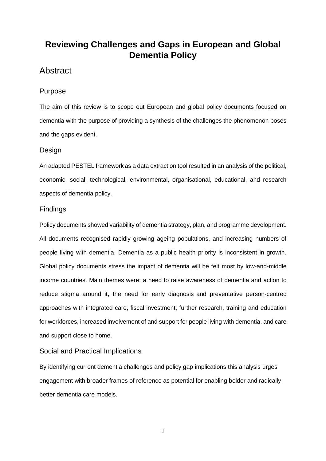# **Reviewing Challenges and Gaps in European and Global Dementia Policy**

# Abstract

### Purpose

The aim of this review is to scope out European and global policy documents focused on dementia with the purpose of providing a synthesis of the challenges the phenomenon poses and the gaps evident.

### **Design**

An adapted PESTEL framework as a data extraction tool resulted in an analysis of the political, economic, social, technological, environmental, organisational, educational, and research aspects of dementia policy.

#### Findings

Policy documents showed variability of dementia strategy, plan, and programme development. All documents recognised rapidly growing ageing populations, and increasing numbers of people living with dementia. Dementia as a public health priority is inconsistent in growth. Global policy documents stress the impact of dementia will be felt most by low-and-middle income countries. Main themes were: a need to raise awareness of dementia and action to reduce stigma around it, the need for early diagnosis and preventative person-centred approaches with integrated care, fiscal investment, further research, training and education for workforces, increased involvement of and support for people living with dementia, and care and support close to home.

### Social and Practical Implications

By identifying current dementia challenges and policy gap implications this analysis urges engagement with broader frames of reference as potential for enabling bolder and radically better dementia care models.

1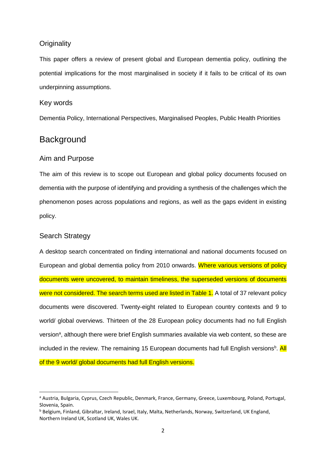#### **Originality**

This paper offers a review of present global and European dementia policy, outlining the potential implications for the most marginalised in society if it fails to be critical of its own underpinning assumptions.

#### Key words

Dementia Policy, International Perspectives, Marginalised Peoples, Public Health Priorities

## **Background**

#### Aim and Purpose

The aim of this review is to scope out European and global policy documents focused on dementia with the purpose of identifying and providing a synthesis of the challenges which the phenomenon poses across populations and regions, as well as the gaps evident in existing policy.

#### Search Strategy

1

A desktop search concentrated on finding international and national documents focused on European and global dementia policy from 2010 onwards. Where various versions of policy documents were uncovered, to maintain timeliness, the superseded versions of documents were not considered. The search terms used are listed in Table 1. A total of 37 relevant policy documents were discovered. Twenty-eight related to European country contexts and 9 to world/ global overviews. Thirteen of the 28 European policy documents had no full English version<sup>a</sup>, although there were brief English summaries available via web content, so these are included in the review. The remaining 15 European documents had full English versions<sup>b</sup>. All of the 9 world/ global documents had full English versions.

<sup>&</sup>lt;sup>a</sup> Austria, Bulgaria, Cyprus, Czech Republic, Denmark, France, Germany, Greece, Luxembourg, Poland, Portugal, Slovenia, Spain.

<sup>b</sup> Belgium, Finland, Gibraltar, Ireland, Israel, Italy, Malta, Netherlands, Norway, Switzerland, UK England, Northern Ireland UK, Scotland UK, Wales UK.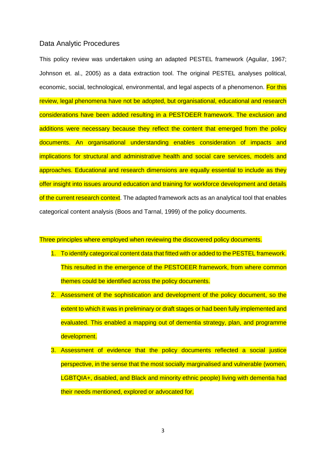#### Data Analytic Procedures

This policy review was undertaken using an adapted PESTEL framework (Aguilar, 1967; Johnson et. al., 2005) as a data extraction tool. The original PESTEL analyses political, economic, social, technological, environmental, and legal aspects of a phenomenon. For this review, legal phenomena have not be adopted, but organisational, educational and research considerations have been added resulting in a PESTOEER framework. The exclusion and additions were necessary because they reflect the content that emerged from the policy documents. An organisational understanding enables consideration of impacts and implications for structural and administrative health and social care services, models and approaches. Educational and research dimensions are equally essential to include as they offer insight into issues around education and training for workforce development and details of the current research context. The adapted framework acts as an analytical tool that enables categorical content analysis (Boos and Tarnal, 1999) of the policy documents.

#### Three principles where employed when reviewing the discovered policy documents.

- 1. To identify categorical content data that fitted with or added to the PESTEL framework. This resulted in the emergence of the PESTOEER framework, from where common themes could be identified across the policy documents.
- 2. Assessment of the sophistication and development of the policy document, so the extent to which it was in preliminary or draft stages or had been fully implemented and evaluated. This enabled a mapping out of dementia strategy, plan, and programme development.
- 3. Assessment of evidence that the policy documents reflected a social justice perspective, in the sense that the most socially marginalised and vulnerable (women, LGBTQIA+, disabled, and Black and minority ethnic people) living with dementia had their needs mentioned, explored or advocated for.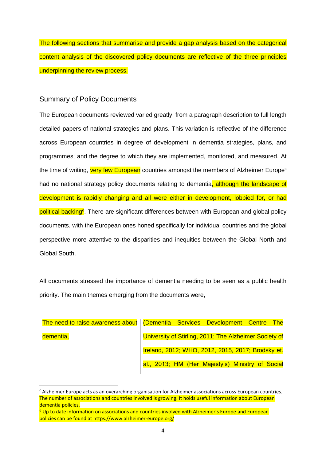The following sections that summarise and provide a gap analysis based on the categorical content analysis of the discovered policy documents are reflective of the three principles underpinning the review process.

#### Summary of Policy Documents

**.** 

The European documents reviewed varied greatly, from a paragraph description to full length detailed papers of national strategies and plans. This variation is reflective of the difference across European countries in degree of development in dementia strategies, plans, and programmes; and the degree to which they are implemented, monitored, and measured. At the time of writing, very few European countries amongst the members of Alzheimer Europe<sup>c</sup> had no national strategy policy documents relating to dementia, although the landscape of development is rapidly changing and all were either in development, lobbied for, or had political backing<sup>d</sup>. There are significant differences between with European and global policy documents, with the European ones honed specifically for individual countries and the global perspective more attentive to the disparities and inequities between the Global North and Global South.

All documents stressed the importance of dementia needing to be seen as a public health priority. The main themes emerging from the documents were,

| The need to raise awareness about   (Dementia Services Development Centre The |  |                                                        |  |
|-------------------------------------------------------------------------------|--|--------------------------------------------------------|--|
| dementia,                                                                     |  | University of Stirling, 2011; The Alzheimer Society of |  |
|                                                                               |  | Ireland, 2012; WHO, 2012, 2015, 2017; Brodsky et.      |  |
|                                                                               |  | al., 2013; HM (Her Majesty's) Ministry of Social       |  |

<sup>c</sup> Alzheimer Europe acts as an overarching organisation for Alzheimer associations across European countries. The number of associations and countries involved is growing. It holds useful information about European dementia policies.

<sup>d</sup> Up to date information on associations and countries involved with Alzheimer's Europe and European policies can be found at https://www.alzheimer-europe.org/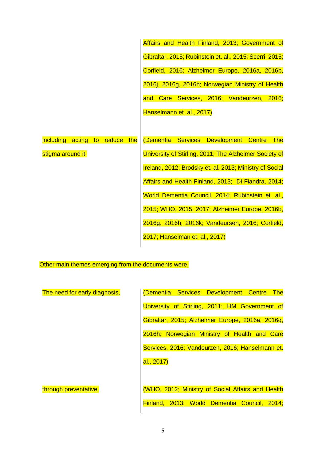|                   |    |        |     | Affairs and Health Finland, 2013; Government of          |                 |                    |               |            |
|-------------------|----|--------|-----|----------------------------------------------------------|-----------------|--------------------|---------------|------------|
|                   |    |        |     | Gibraltar, 2015; Rubinstein et. al., 2015; Scerri, 2015; |                 |                    |               |            |
|                   |    |        |     | Corfield, 2016; Alzheimer Europe, 2016a, 2016b,          |                 |                    |               |            |
|                   |    |        |     | 2016j, 2016g, 2016h; Norwegian Ministry of Health        |                 |                    |               |            |
|                   |    |        |     | and Care Services, 2016; Vandeurzen, 2016;               |                 |                    |               |            |
|                   |    |        |     | Hanselmann et. al., 2017)                                |                 |                    |               |            |
|                   |    |        |     |                                                          |                 |                    |               |            |
| including acting  | to | reduce | the | (Dementia                                                | <b>Services</b> | <b>Development</b> | <b>Centre</b> | <b>The</b> |
| stigma around it. |    |        |     | University of Stirling, 2011; The Alzheimer Society of   |                 |                    |               |            |
|                   |    |        |     | Ireland, 2012; Brodsky et. al. 2013; Ministry of Social  |                 |                    |               |            |
|                   |    |        |     | Affairs and Health Finland, 2013; Di Fiandra, 2014;      |                 |                    |               |            |
|                   |    |        |     | World Dementia Council, 2014; Rubinstein et. al.,        |                 |                    |               |            |
|                   |    |        |     | 2015; WHO, 2015, 2017; Alzheimer Europe, 2016b,          |                 |                    |               |            |
|                   |    |        |     | 2016g, 2016h, 2016k; Vandeursen, 2016; Corfield,         |                 |                    |               |            |
|                   |    |        |     | 2017; Hanselman et. al., 2017)                           |                 |                    |               |            |
|                   |    |        |     |                                                          |                 |                    |               |            |

Other main themes emerging from the documents were,

| al., 2017) |                                                                                                                                                                                                                                                                                                                                                          |
|------------|----------------------------------------------------------------------------------------------------------------------------------------------------------------------------------------------------------------------------------------------------------------------------------------------------------------------------------------------------------|
|            |                                                                                                                                                                                                                                                                                                                                                          |
|            |                                                                                                                                                                                                                                                                                                                                                          |
|            |                                                                                                                                                                                                                                                                                                                                                          |
|            | (Dementia Services Development Centre The<br>University of Stirling, 2011; HM Government of<br>Gibraltar, 2015; Alzheimer Europe, 2016a, 2016g,<br>2016h; Norwegian Ministry of Health and Care<br>Services, 2016; Vandeurzen, 2016; Hanselmann et.<br>(WHO, 2012; Ministry of Social Affairs and Health<br>Finland, 2013; World Dementia Council, 2014; |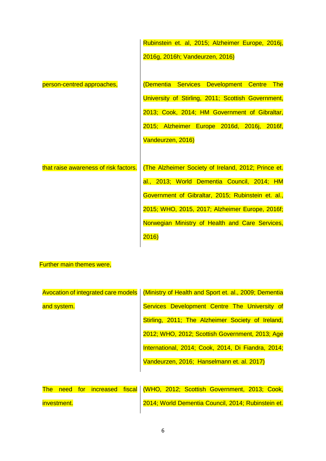Rubinstein et. al, 2015; Alzheimer Europe, 2016j, 2016g, 2016h; Vandeurzen, 2016)

person-centred approaches, (Dementia Services Development Centre The University of Stirling, 2011; Scottish Government, 2013; Cook, 2014; HM Government of Gibraltar, 2015; Alzheimer Europe 2016d, 2016j, 2016f, Vandeurzen, 2016)

that raise awareness of risk factors. (The Alzheimer Society of Ireland, 2012; Prince et. al., 2013; World Dementia Council, 2014; HM Government of Gibraltar, 2015; Rubinstein et. al., 2015; WHO, 2015, 2017; Alzheimer Europe, 2016f; Norwegian Ministry of Health and Care Services, 2016)

#### Further main themes were,

|             | Avocation of integrated care models   (Ministry of Health and Sport et. al., 2009; Dementia |
|-------------|---------------------------------------------------------------------------------------------|
| and system. | Services Development Centre The University of                                               |
|             | Stirling, 2011; The Alzheimer Society of Ireland,                                           |
|             | 2012; WHO, 2012; Scottish Government, 2013; Age                                             |
|             | International, 2014; Cook, 2014, Di Fiandra, 2014;                                          |
|             | Vandeurzen, 2016; Hanselmann et. al. 2017)                                                  |

|             |  |  |  | The need for increased fiscal (WHO, 2012; Scottish Government, 2013; Cook, |  |
|-------------|--|--|--|----------------------------------------------------------------------------|--|
| investment. |  |  |  | 2014; World Dementia Council, 2014; Rubinstein et.                         |  |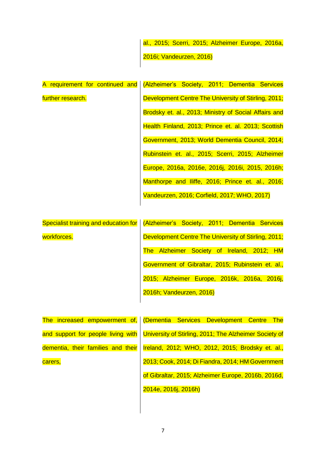al., 2015; Scerri, 2015; Alzheimer Europe, 2016a, 2016i; Vandeurzen, 2016)

| A requirement for continued and | (Alzheimer's Society, 2011; Dementia Services               |  |  |
|---------------------------------|-------------------------------------------------------------|--|--|
| further research.               | <b>Development Centre The University of Stirling, 2011;</b> |  |  |
|                                 | Brodsky et. al., 2013; Ministry of Social Affairs and       |  |  |
|                                 | Health Finland, 2013; Prince et. al. 2013; Scottish         |  |  |
|                                 | Government, 2013; World Dementia Council, 2014;             |  |  |
|                                 | Rubinstein et. al., 2015; Scerri, 2015; Alzheimer           |  |  |
|                                 | Europe, 2016a, 2016e, 2016j, 2016i, 2015, 2016h;            |  |  |
|                                 | Manthorpe and Iliffe, 2016; Prince et. al., 2016;           |  |  |
|                                 | Vandeurzen, 2016; Corfield, 2017; WHO, 2017)                |  |  |

Specialist training and education for (Alzheimer's Society, 2011; Dementia Services workforces.

Development Centre The University of Stirling, 2011; The Alzheimer Society of Ireland, 2012; HM Government of Gibraltar, 2015; Rubinstein et. al., 2015; Alzheimer Europe, 2016k, 2016a, 2016j, 2016h; Vandeurzen, 2016)

The increased empowerment of, and support for people living with dementia, their families and their carers,

(Dementia Services Development Centre The University of Stirling, 2011; The Alzheimer Society of Ireland, 2012; WHO, 2012, 2015; Brodsky et. al., 2013; Cook, 2014; Di Fiandra, 2014; HM Government of Gibraltar, 2015; Alzheimer Europe, 2016b, 2016d, 2014e, 2016j, 2016h)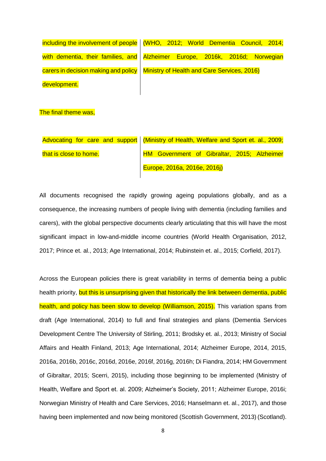| including the involvement of people (WHO, 2012; World Dementia Council, 2014;      |  |  |  |
|------------------------------------------------------------------------------------|--|--|--|
| with dementia, their families, and Alzheimer Europe, 2016k, 2016d; Norwegian       |  |  |  |
|                                                                                    |  |  |  |
| carers in decision making and policy   Ministry of Health and Care Services, 2016) |  |  |  |
| development.                                                                       |  |  |  |

The final theme was,

|                        | Advocating for care and support   (Ministry of Health, Welfare and Sport et. al., 2009; |
|------------------------|-----------------------------------------------------------------------------------------|
| that is close to home. | HM Government of Gibraltar, 2015; Alzheimer                                             |
|                        | Europe, 2016a, 2016e, 2016j)                                                            |

All documents recognised the rapidly growing ageing populations globally, and as a consequence, the increasing numbers of people living with dementia (including families and carers), with the global perspective documents clearly articulating that this will have the most significant impact in low-and-middle income countries (World Health Organisation, 2012, 2017; Prince et. al., 2013; Age International, 2014; Rubinstein et. al., 2015; Corfield, 2017).

Across the European policies there is great variability in terms of dementia being a public health priority, but this is unsurprising given that historically the link between dementia, public health, and policy has been slow to develop (Williamson, 2015). This variation spans from draft (Age International, 2014) to full and final strategies and plans (Dementia Services Development Centre The University of Stirling, 2011; Brodsky et. al., 2013; Ministry of Social Affairs and Health Finland, 2013; Age International, 2014; Alzheimer Europe, 2014, 2015, 2016a, 2016b, 2016c, 2016d, 2016e, 2016f, 2016g, 2016h; Di Fiandra, 2014; HM Government of Gibraltar, 2015; Scerri, 2015), including those beginning to be implemented (Ministry of Health, Welfare and Sport et. al. 2009; Alzheimer's Society, 2011; Alzheimer Europe, 2016i; Norwegian Ministry of Health and Care Services, 2016; Hanselmann et. al., 2017), and those having been implemented and now being monitored (Scottish Government, 2013) (Scotland).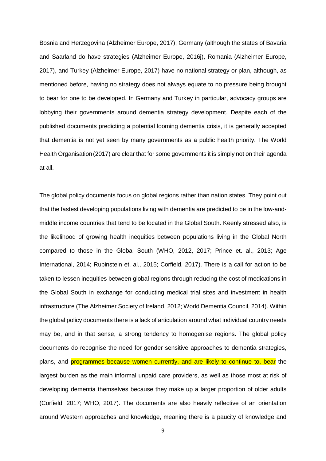Bosnia and Herzegovina (Alzheimer Europe, 2017), Germany (although the states of Bavaria and Saarland do have strategies (Alzheimer Europe, 2016j), Romania (Alzheimer Europe, 2017), and Turkey (Alzheimer Europe, 2017) have no national strategy or plan, although, as mentioned before, having no strategy does not always equate to no pressure being brought to bear for one to be developed. In Germany and Turkey in particular, advocacy groups are lobbying their governments around dementia strategy development. Despite each of the published documents predicting a potential looming dementia crisis, it is generally accepted that dementia is not yet seen by many governments as a public health priority. The World Health Organisation(2017) are clear that for some governments it is simply not on their agenda at all.

The global policy documents focus on global regions rather than nation states. They point out that the fastest developing populations living with dementia are predicted to be in the low-andmiddle income countries that tend to be located in the Global South. Keenly stressed also, is the likelihood of growing health inequities between populations living in the Global North compared to those in the Global South (WHO, 2012, 2017; Prince et. al., 2013; Age International, 2014; Rubinstein et. al., 2015; Corfield, 2017). There is a call for action to be taken to lessen inequities between global regions through reducing the cost of medications in the Global South in exchange for conducting medical trial sites and investment in health infrastructure (The Alzheimer Society of Ireland, 2012; World Dementia Council, 2014). Within the global policy documents there is a lack of articulation around what individual country needs may be, and in that sense, a strong tendency to homogenise regions. The global policy documents do recognise the need for gender sensitive approaches to dementia strategies, plans, and programmes because women currently, and are likely to continue to, bear the largest burden as the main informal unpaid care providers, as well as those most at risk of developing dementia themselves because they make up a larger proportion of older adults (Corfield, 2017; WHO, 2017). The documents are also heavily reflective of an orientation around Western approaches and knowledge, meaning there is a paucity of knowledge and

9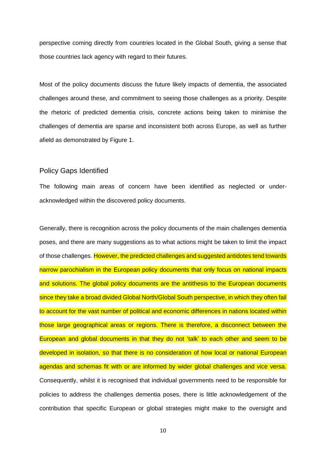perspective coming directly from countries located in the Global South, giving a sense that those countries lack agency with regard to their futures.

Most of the policy documents discuss the future likely impacts of dementia, the associated challenges around these, and commitment to seeing those challenges as a priority. Despite the rhetoric of predicted dementia crisis, concrete actions being taken to minimise the challenges of dementia are sparse and inconsistent both across Europe, as well as further afield as demonstrated by Figure 1.

#### Policy Gaps Identified

The following main areas of concern have been identified as neglected or underacknowledged within the discovered policy documents.

Generally, there is recognition across the policy documents of the main challenges dementia poses, and there are many suggestions as to what actions might be taken to limit the impact of those challenges. However, the predicted challenges and suggested antidotes tend towards narrow parochialism in the European policy documents that only focus on national impacts and solutions. The global policy documents are the antithesis to the European documents since they take a broad divided Global North/Global South perspective, in which they often fail to account for the vast number of political and economic differences in nations located within those large geographical areas or regions. There is therefore, a disconnect between the European and global documents in that they do not 'talk' to each other and seem to be developed in isolation, so that there is no consideration of how local or national European agendas and schemas fit with or are informed by wider global challenges and vice versa. Consequently, whilst it is recognised that individual governments need to be responsible for policies to address the challenges dementia poses, there is little acknowledgement of the contribution that specific European or global strategies might make to the oversight and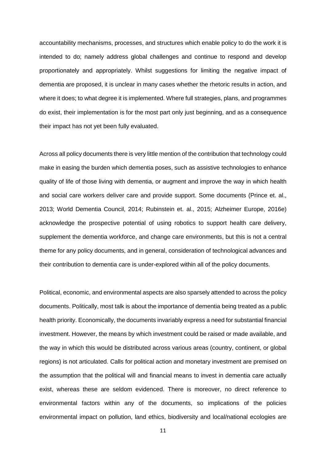accountability mechanisms, processes, and structures which enable policy to do the work it is intended to do; namely address global challenges and continue to respond and develop proportionately and appropriately. Whilst suggestions for limiting the negative impact of dementia are proposed, it is unclear in many cases whether the rhetoric results in action, and where it does; to what degree it is implemented. Where full strategies, plans, and programmes do exist, their implementation is for the most part only just beginning, and as a consequence their impact has not yet been fully evaluated.

Across all policy documents there is very little mention of the contribution that technology could make in easing the burden which dementia poses, such as assistive technologies to enhance quality of life of those living with dementia, or augment and improve the way in which health and social care workers deliver care and provide support. Some documents (Prince et. al., 2013; World Dementia Council, 2014; Rubinstein et. al., 2015; Alzheimer Europe, 2016e) acknowledge the prospective potential of using robotics to support health care delivery, supplement the dementia workforce, and change care environments, but this is not a central theme for any policy documents, and in general, consideration of technological advances and their contribution to dementia care is under-explored within all of the policy documents.

Political, economic, and environmental aspects are also sparsely attended to across the policy documents. Politically, most talk is about the importance of dementia being treated as a public health priority. Economically, the documents invariably express a need for substantial financial investment. However, the means by which investment could be raised or made available, and the way in which this would be distributed across various areas (country, continent, or global regions) is not articulated. Calls for political action and monetary investment are premised on the assumption that the political will and financial means to invest in dementia care actually exist, whereas these are seldom evidenced. There is moreover, no direct reference to environmental factors within any of the documents, so implications of the policies environmental impact on pollution, land ethics, biodiversity and local/national ecologies are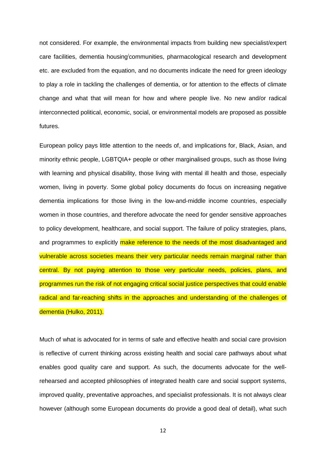not considered. For example, the environmental impacts from building new specialist/expert care facilities, dementia housing/communities, pharmacological research and development etc. are excluded from the equation, and no documents indicate the need for green ideology to play a role in tackling the challenges of dementia, or for attention to the effects of climate change and what that will mean for how and where people live. No new and/or radical interconnected political, economic, social, or environmental models are proposed as possible futures.

European policy pays little attention to the needs of, and implications for, Black, Asian, and minority ethnic people, LGBTQIA+ people or other marginalised groups, such as those living with learning and physical disability, those living with mental ill health and those, especially women, living in poverty. Some global policy documents do focus on increasing negative dementia implications for those living in the low-and-middle income countries, especially women in those countries, and therefore advocate the need for gender sensitive approaches to policy development, healthcare, and social support. The failure of policy strategies, plans, and programmes to explicitly make reference to the needs of the most disadvantaged and vulnerable across societies means their very particular needs remain marginal rather than central. By not paying attention to those very particular needs, policies, plans, and programmes run the risk of not engaging critical social justice perspectives that could enable radical and far-reaching shifts in the approaches and understanding of the challenges of dementia (Hulko, 2011).

Much of what is advocated for in terms of safe and effective health and social care provision is reflective of current thinking across existing health and social care pathways about what enables good quality care and support. As such, the documents advocate for the wellrehearsed and accepted philosophies of integrated health care and social support systems, improved quality, preventative approaches, and specialist professionals. It is not always clear however (although some European documents do provide a good deal of detail), what such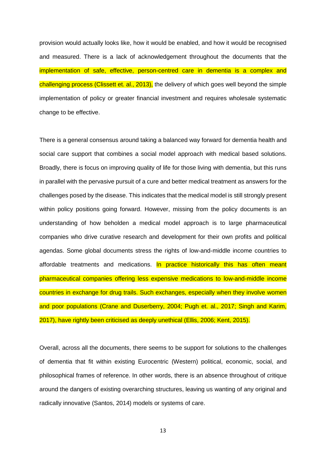provision would actually looks like, how it would be enabled, and how it would be recognised and measured. There is a lack of acknowledgement throughout the documents that the implementation of safe, effective, person-centred care in dementia is a complex and challenging process (Clissett et. al., 2013), the delivery of which goes well beyond the simple implementation of policy or greater financial investment and requires wholesale systematic change to be effective.

There is a general consensus around taking a balanced way forward for dementia health and social care support that combines a social model approach with medical based solutions. Broadly, there is focus on improving quality of life for those living with dementia, but this runs in parallel with the pervasive pursuit of a cure and better medical treatment as answers for the challenges posed by the disease. This indicates that the medical model is still strongly present within policy positions going forward. However, missing from the policy documents is an understanding of how beholden a medical model approach is to large pharmaceutical companies who drive curative research and development for their own profits and political agendas. Some global documents stress the rights of low-and-middle income countries to affordable treatments and medications. In practice historically this has often meant pharmaceutical companies offering less expensive medications to low-and-middle income countries in exchange for drug trails. Such exchanges, especially when they involve women and poor populations (Crane and Duserberry, 2004; Pugh et. al., 2017; Singh and Karim, 2017), have rightly been criticised as deeply unethical (Ellis, 2006; Kent, 2015).

Overall, across all the documents, there seems to be support for solutions to the challenges of dementia that fit within existing Eurocentric (Western) political, economic, social, and philosophical frames of reference. In other words, there is an absence throughout of critique around the dangers of existing overarching structures, leaving us wanting of any original and radically innovative (Santos, 2014) models or systems of care.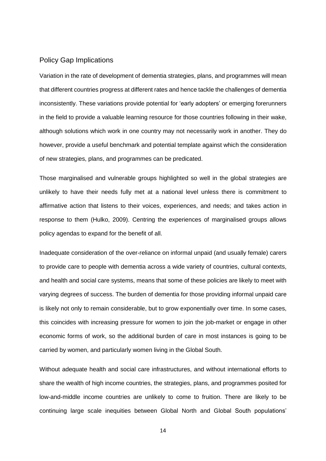#### Policy Gap Implications

Variation in the rate of development of dementia strategies, plans, and programmes will mean that different countries progress at different rates and hence tackle the challenges of dementia inconsistently. These variations provide potential for 'early adopters' or emerging forerunners in the field to provide a valuable learning resource for those countries following in their wake, although solutions which work in one country may not necessarily work in another. They do however, provide a useful benchmark and potential template against which the consideration of new strategies, plans, and programmes can be predicated.

Those marginalised and vulnerable groups highlighted so well in the global strategies are unlikely to have their needs fully met at a national level unless there is commitment to affirmative action that listens to their voices, experiences, and needs; and takes action in response to them (Hulko, 2009). Centring the experiences of marginalised groups allows policy agendas to expand for the benefit of all.

Inadequate consideration of the over-reliance on informal unpaid (and usually female) carers to provide care to people with dementia across a wide variety of countries, cultural contexts, and health and social care systems, means that some of these policies are likely to meet with varying degrees of success. The burden of dementia for those providing informal unpaid care is likely not only to remain considerable, but to grow exponentially over time. In some cases, this coincides with increasing pressure for women to join the job-market or engage in other economic forms of work, so the additional burden of care in most instances is going to be carried by women, and particularly women living in the Global South.

Without adequate health and social care infrastructures, and without international efforts to share the wealth of high income countries, the strategies, plans, and programmes posited for low-and-middle income countries are unlikely to come to fruition. There are likely to be continuing large scale inequities between Global North and Global South populations'

14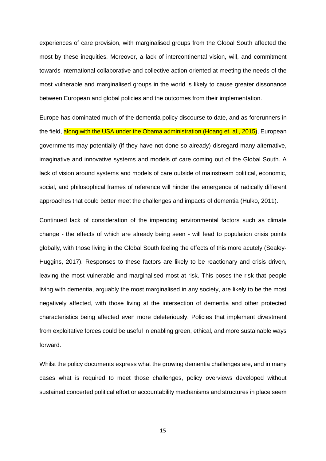experiences of care provision, with marginalised groups from the Global South affected the most by these inequities. Moreover, a lack of intercontinental vision, will, and commitment towards international collaborative and collective action oriented at meeting the needs of the most vulnerable and marginalised groups in the world is likely to cause greater dissonance between European and global policies and the outcomes from their implementation.

Europe has dominated much of the dementia policy discourse to date, and as forerunners in the field, along with the USA under the Obama administration (Hoang et. al., 2015), European governments may potentially (if they have not done so already) disregard many alternative, imaginative and innovative systems and models of care coming out of the Global South. A lack of vision around systems and models of care outside of mainstream political, economic, social, and philosophical frames of reference will hinder the emergence of radically different approaches that could better meet the challenges and impacts of dementia (Hulko, 2011).

Continued lack of consideration of the impending environmental factors such as climate change - the effects of which are already being seen - will lead to population crisis points globally, with those living in the Global South feeling the effects of this more acutely (Sealey-Huggins, 2017). Responses to these factors are likely to be reactionary and crisis driven, leaving the most vulnerable and marginalised most at risk. This poses the risk that people living with dementia, arguably the most marginalised in any society, are likely to be the most negatively affected, with those living at the intersection of dementia and other protected characteristics being affected even more deleteriously. Policies that implement divestment from exploitative forces could be useful in enabling green, ethical, and more sustainable ways forward.

Whilst the policy documents express what the growing dementia challenges are, and in many cases what is required to meet those challenges, policy overviews developed without sustained concerted political effort or accountability mechanisms and structures in place seem

15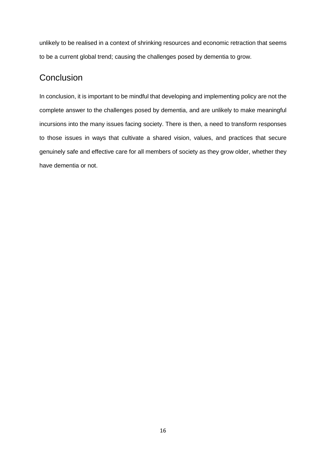unlikely to be realised in a context of shrinking resources and economic retraction that seems to be a current global trend; causing the challenges posed by dementia to grow.

## **Conclusion**

In conclusion, it is important to be mindful that developing and implementing policy are not the complete answer to the challenges posed by dementia, and are unlikely to make meaningful incursions into the many issues facing society. There is then, a need to transform responses to those issues in ways that cultivate a shared vision, values, and practices that secure genuinely safe and effective care for all members of society as they grow older, whether they have dementia or not.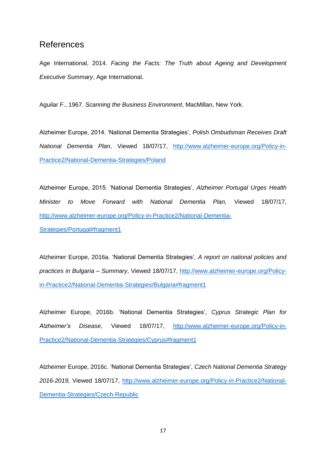## References

Age International, 2014. *Facing the Facts: The Truth about Ageing and Development Executive Summary*, Age International.

Aguilar F., 1967. *Scanning the Business Environment*, MacMillan, New York.

Alzheimer Europe, 2014. 'National Dementia Strategies', *Polish Ombudsman Receives Draft National Dementia Plan*, Viewed 18/07/17, [http://www.alzheimer-europe.org/Policy-in-](http://www.alzheimer-europe.org/Policy-in-Practice2/National-Dementia-Strategies/Poland)[Practice2/National-Dementia-Strategies/Poland](http://www.alzheimer-europe.org/Policy-in-Practice2/National-Dementia-Strategies/Poland)

Alzheimer Europe, 2015. 'National Dementia Strategies', *Alzheimer Portugal Urges Health Minister to Move Forward with National Dementia Plan,* Viewed 18/07/17, [http://www.alzheimer-europe.org/Policy-in-Practice2/National-Dementia-](http://www.alzheimer-europe.org/Policy-in-Practice2/National-Dementia-Strategies/Portugal#fragment1)[Strategies/Portugal#fragment1](http://www.alzheimer-europe.org/Policy-in-Practice2/National-Dementia-Strategies/Portugal#fragment1)

Alzheimer Europe, 2016a. 'National Dementia Strategies'*, A report on national policies and practices in Bulgaria – Summary*, Viewed 18/07/17, [http://www.alzheimer-europe.org/Policy](http://www.alzheimer-europe.org/Policy-in-Practice2/National-Dementia-Strategies/Bulgaria#fragment1)[in-Practice2/National-Dementia-Strategies/Bulgaria#fragment1](http://www.alzheimer-europe.org/Policy-in-Practice2/National-Dementia-Strategies/Bulgaria#fragment1)

Alzheimer Europe, 2016b. 'National Dementia Strategies', *Cyprus Strategic Plan for Alzheimer's Disease*, Viewed 18/07/17, [http://www.alzheimer-europe.org/Policy-in-](http://www.alzheimer-europe.org/Policy-in-Practice2/National-Dementia-Strategies/Cyprus#fragment1)[Practice2/National-Dementia-Strategies/Cyprus#fragment1](http://www.alzheimer-europe.org/Policy-in-Practice2/National-Dementia-Strategies/Cyprus#fragment1)

Alzheimer Europe, 2016c. 'National Dementia Strategies', *Czech National Dementia Strategy 2016-2019,* Viewed 18/07/17, [http://www.alzheimer-europe.org/Policy-in-Practice2/National-](http://www.alzheimer-europe.org/Policy-in-Practice2/National-Dementia-Strategies/Czech-Republic)[Dementia-Strategies/Czech-Republic](http://www.alzheimer-europe.org/Policy-in-Practice2/National-Dementia-Strategies/Czech-Republic)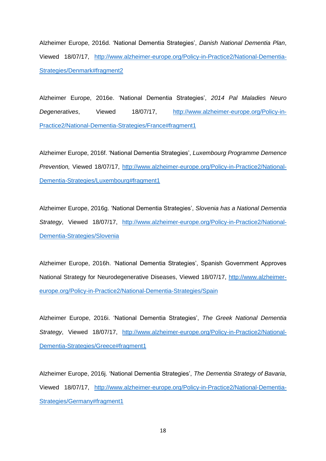Alzheimer Europe, 2016d. 'National Dementia Strategies', *Danish National Dementia Plan*, Viewed 18/07/17, [http://www.alzheimer-europe.org/Policy-in-Practice2/National-Dementia-](http://www.alzheimer-europe.org/Policy-in-Practice2/National-Dementia-Strategies/Denmark#fragment2)[Strategies/Denmark#fragment2](http://www.alzheimer-europe.org/Policy-in-Practice2/National-Dementia-Strategies/Denmark#fragment2)

Alzheimer Europe, 2016e. 'National Dementia Strategies', *2014 Pal Maladies Neuro Degeneratives*, Viewed 18/07/17, [http://www.alzheimer-europe.org/Policy-in-](http://www.alzheimer-europe.org/Policy-in-Practice2/National-Dementia-Strategies/France#fragment1)[Practice2/National-Dementia-Strategies/France#fragment1](http://www.alzheimer-europe.org/Policy-in-Practice2/National-Dementia-Strategies/France#fragment1)

Alzheimer Europe, 2016f. 'National Dementia Strategies', *Luxembourg Programme Demence Prevention,* Viewed 18/07/17, [http://www.alzheimer-europe.org/Policy-in-Practice2/National-](http://www.alzheimer-europe.org/Policy-in-Practice2/National-Dementia-Strategies/Luxembourg#fragment1)[Dementia-Strategies/Luxembourg#fragment1](http://www.alzheimer-europe.org/Policy-in-Practice2/National-Dementia-Strategies/Luxembourg#fragment1)

Alzheimer Europe, 2016g. 'National Dementia Strategies', *Slovenia has a National Dementia Strategy*, Viewed 18/07/17, [http://www.alzheimer-europe.org/Policy-in-Practice2/National-](http://www.alzheimer-europe.org/Policy-in-Practice2/National-Dementia-Strategies/Slovenia)[Dementia-Strategies/Slovenia](http://www.alzheimer-europe.org/Policy-in-Practice2/National-Dementia-Strategies/Slovenia)

Alzheimer Europe, 2016h. 'National Dementia Strategies', Spanish Government Approves National Strategy for Neurodegenerative Diseases, Viewed 18/07/17, [http://www.alzheimer](http://www.alzheimer-europe.org/Policy-in-Practice2/National-Dementia-Strategies/Spain)[europe.org/Policy-in-Practice2/National-Dementia-Strategies/Spain](http://www.alzheimer-europe.org/Policy-in-Practice2/National-Dementia-Strategies/Spain)

Alzheimer Europe, 2016i. 'National Dementia Strategies', *The Greek National Dementia Strategy*, Viewed 18/07/17, [http://www.alzheimer-europe.org/Policy-in-Practice2/National-](http://www.alzheimer-europe.org/Policy-in-Practice2/National-Dementia-Strategies/Greece#fragment1)[Dementia-Strategies/Greece#fragment1](http://www.alzheimer-europe.org/Policy-in-Practice2/National-Dementia-Strategies/Greece#fragment1)

Alzheimer Europe, 2016j. 'National Dementia Strategies', *The Dementia Strategy of Bavaria*, Viewed 18/07/17, [http://www.alzheimer-europe.org/Policy-in-Practice2/National-Dementia-](http://www.alzheimer-europe.org/Policy-in-Practice2/National-Dementia-Strategies/Germany#fragment1)[Strategies/Germany#fragment1](http://www.alzheimer-europe.org/Policy-in-Practice2/National-Dementia-Strategies/Germany#fragment1)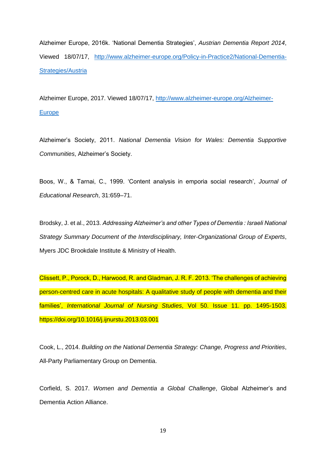Alzheimer Europe, 2016k. 'National Dementia Strategies', *Austrian Dementia Report 2014*, Viewed 18/07/17, [http://www.alzheimer-europe.org/Policy-in-Practice2/National-Dementia-](http://www.alzheimer-europe.org/Policy-in-Practice2/National-Dementia-Strategies/Austria)[Strategies/Austria](http://www.alzheimer-europe.org/Policy-in-Practice2/National-Dementia-Strategies/Austria)

Alzheimer Europe, 2017. Viewed 18/07/17, [http://www.alzheimer-europe.org/Alzheimer-](http://www.alzheimer-europe.org/Alzheimer-Europe)[Europe](http://www.alzheimer-europe.org/Alzheimer-Europe)

Alzheimer's Society, 2011. *National Dementia Vision for Wales: Dementia Supportive Communities*, Alzheimer's Society.

Boos, W., & Tarnai, C., 1999. 'Content analysis in emporia social research', *Journal of Educational Research*, 31:659–71.

Brodsky, J. et al., 2013. *Addressing Alzheimer's and other Types of Dementia : Israeli National Strategy Summary Document of the Interdisciplinary, Inter-Organizational Group of Experts*, Myers JDC Brookdale Institute & Ministry of Health.

Clissett, P., Porock, D., Harwood, R. and Gladman, J. R. F. 2013. 'The challenges of achieving person-centred care in acute hospitals: A qualitative study of people with dementia and their families', *International Journal of Nursing Studies*, Vol 50. Issue 11. pp. 1495-1503. https://doi.org/10.1016/j.ijnurstu.2013.03.001

Cook, L., 2014. *Building on the National Dementia Strategy: Change, Progress and Priorities*, All-Party Parliamentary Group on Dementia.

Corfield, S. 2017. *Women and Dementia a Global Challenge*, Global Alzheimer's and Dementia Action Alliance.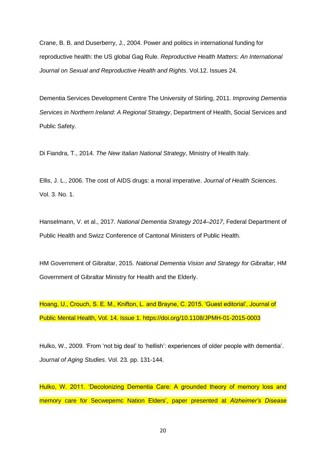Crane, B. B. and Duserberry, J., 2004. Power and politics in international funding for reproductive health: the US global Gag Rule. *Reproductive Health Matters: An International Journal on Sexual and Reproductive Health and Rights*. Vol.12. Issues 24.

Dementia Services Development Centre The University of Stirling, 2011. *Improving Dementia Services in Northern Ireland: A Regional Strategy*, Department of Health, Social Services and Public Safety.

Di Fiandra, T., 2014. *The New Italian National Strategy*, Ministry of Health Italy.

Ellis, J. L., 2006. The cost of AIDS drugs: a moral imperative. *Journal of Health Sciences*. Vol. 3. No. 1.

Hanselmann, V. et al., 2017. *National Dementia Strategy 2014–2017*, Federal Department of Public Health and Swizz Conference of Cantonal Ministers of Public Health.

HM Government of Gibraltar, 2015. *National Dementia Vision and Strategy for Gibraltar*, HM Government of Gibraltar Ministry for Health and the Elderly.

Hoang, U., Crouch, S. E. M., Knifton, L. and Brayne, C. 2015. 'Guest editorial', Journal of Public Mental Health, Vol. 14. Issue 1. https://doi.org/10.1108/JPMH-01-2015-0003

Hulko, W., 2009. 'From 'not big deal' to 'hellish': experiences of older people with dementia'. *Journal of Aging Studies*. Vol. 23. pp. 131-144.

Hulko, W. 2011. 'Decolonizing Dementia Care: A grounded theory of memory loss and memory care for Secwepemc Nation Elders', paper presented at *Alzheimer's Disease*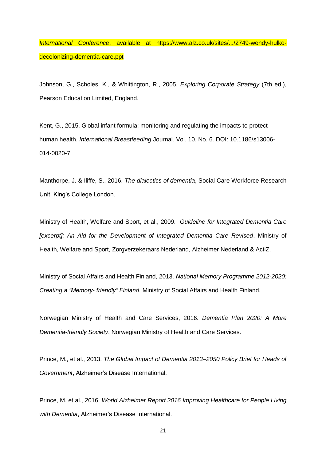*International Conference*, available at https://www.alz.co.uk/sites/.../2749-wendy-hulkodecolonizing-dementia-care.ppt

Johnson, G., Scholes, K., & Whittington, R., 2005. *Exploring Corporate Strategy* (7th ed.), Pearson Education Limited, England.

Kent, G., 2015. Global infant formula: monitoring and regulating the impacts to protect human health. *International Breastfeeding* Journal. Vol. 10. No. 6. DOI: 10.1186/s13006- 014-0020-7

Manthorpe, J. & Iliffe, S., 2016. *The dialectics of dementia*, Social Care Workforce Research Unit, King's College London.

Ministry of Health, Welfare and Sport, et al., 2009. *Guideline for Integrated Dementia Care [excerpt]: An Aid for the Development of Integrated Dementia Care Revised*, Ministry of Health, Welfare and Sport, Zorgverzekeraars Nederland, Alzheimer Nederland & ActiZ.

Ministry of Social Affairs and Health Finland, 2013. *National Memory Programme 2012-2020: Creating a "Memory- friendly" Finland*, Ministry of Social Affairs and Health Finland.

Norwegian Ministry of Health and Care Services, 2016. *Dementia Plan 2020: A More Dementia-friendly Society*, Norwegian Ministry of Health and Care Services.

Prince, M., et al., 2013. *The Global Impact of Dementia 2013–2050 Policy Brief for Heads of Government*, Alzheimer's Disease International.

Prince, M. et al., 2016. *World Alzheimer Report 2016 Improving Healthcare for People Living with Dementia*, Alzheimer's Disease International.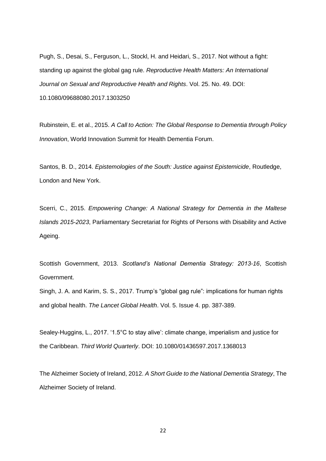Pugh, S., Desai, S., Ferguson, L., Stockl, H. and Heidari, S., 2017. Not without a fight: standing up against the global gag rule. *Reproductive Health Matters: An International Journal on Sexual and Reproductive Health and Rights*. Vol. 25. No. 49. DOI: 10.1080/09688080.2017.1303250

Rubinstein, E. et al., 2015. *A Call to Action: The Global Response to Dementia through Policy Innovation*, World Innovation Summit for Health Dementia Forum.

Santos, B. D., 2014. *Epistemologies of the South: Justice against Epistemicide*, Routledge, London and New York.

Scerri, C., 2015. *Empowering Change: A National Strategy for Dementia in the Maltese Islands 2015-2023*, Parliamentary Secretariat for Rights of Persons with Disability and Active Ageing.

Scottish Government, 2013. *Scotland's National Dementia Strategy: 2013-16*, Scottish Government.

Singh, J. A. and Karim, S. S., 2017. Trump's "global gag rule": implications for human rights and global health. *The Lancet Global Health*. Vol. 5. Issue 4. pp. 387-389.

Sealey-Huggins, L., 2017. '1.5°C to stay alive': climate change, imperialism and justice for the Caribbean. *Third World Quarterly*. DOI: 10.1080/01436597.2017.1368013

The Alzheimer Society of Ireland, 2012. *A Short Guide to the National Dementia Strategy*, The Alzheimer Society of Ireland.